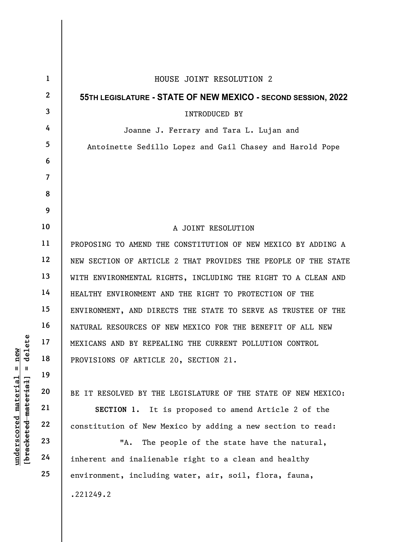| delete<br>new<br>$\mathbf{u}$<br>- II<br>[ <del>bracketed material</del> ]<br>$underscored$ material | $\mathbf{1}$   | HOUSE JOINT RESOLUTION 2                                       |
|------------------------------------------------------------------------------------------------------|----------------|----------------------------------------------------------------|
|                                                                                                      | $\mathbf{2}$   | 55TH LEGISLATURE - STATE OF NEW MEXICO - SECOND SESSION, 2022  |
|                                                                                                      | 3              | <b>INTRODUCED BY</b>                                           |
|                                                                                                      | 4              | Joanne J. Ferrary and Tara L. Lujan and                        |
|                                                                                                      | 5              | Antoinette Sedillo Lopez and Gail Chasey and Harold Pope       |
|                                                                                                      | 6              |                                                                |
|                                                                                                      | $\overline{7}$ |                                                                |
|                                                                                                      | 8              |                                                                |
|                                                                                                      | 9              |                                                                |
|                                                                                                      | 10             | A JOINT RESOLUTION                                             |
|                                                                                                      | 11             | PROPOSING TO AMEND THE CONSTITUTION OF NEW MEXICO BY ADDING A  |
|                                                                                                      | 12             | NEW SECTION OF ARTICLE 2 THAT PROVIDES THE PEOPLE OF THE STATE |
|                                                                                                      | 13             | WITH ENVIRONMENTAL RIGHTS, INCLUDING THE RIGHT TO A CLEAN AND  |
|                                                                                                      | 14             | HEALTHY ENVIRONMENT AND THE RIGHT TO PROTECTION OF THE         |
|                                                                                                      | 15             | ENVIRONMENT, AND DIRECTS THE STATE TO SERVE AS TRUSTEE OF THE  |
|                                                                                                      | 16             | NATURAL RESOURCES OF NEW MEXICO FOR THE BENEFIT OF ALL NEW     |
|                                                                                                      | 17             | MEXICANS AND BY REPEALING THE CURRENT POLLUTION CONTROL        |
|                                                                                                      | 18             | PROVISIONS OF ARTICLE 20, SECTION 21.                          |
|                                                                                                      | 19             |                                                                |
|                                                                                                      | 20             | BE IT RESOLVED BY THE LEGISLATURE OF THE STATE OF NEW MEXICO:  |
|                                                                                                      | 21             | SECTION 1. It is proposed to amend Article 2 of the            |
|                                                                                                      | 22             | constitution of New Mexico by adding a new section to read:    |
|                                                                                                      | 23             | "А.<br>The people of the state have the natural,               |
|                                                                                                      | 24             | inherent and inalienable right to a clean and healthy          |
|                                                                                                      | 25             | environment, including water, air, soil, flora, fauna,         |
|                                                                                                      |                | .221249.2                                                      |
|                                                                                                      |                |                                                                |